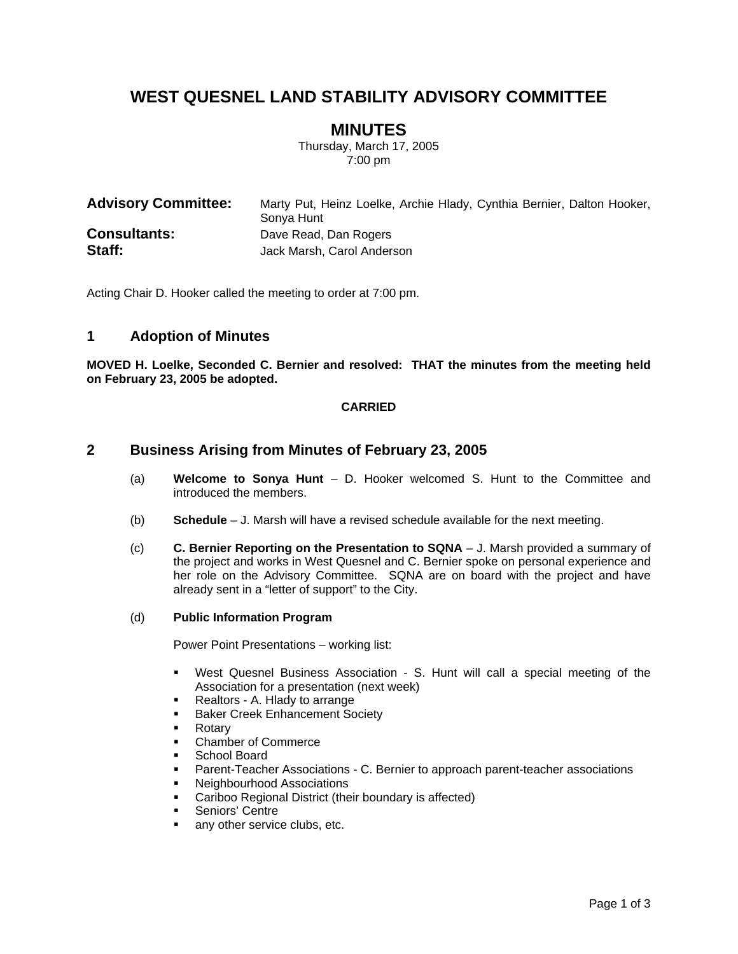# **WEST QUESNEL LAND STABILITY ADVISORY COMMITTEE**

## **MINUTES**

Thursday, March 17, 2005 7:00 pm

| <b>Advisory Committee:</b> | Marty Put, Heinz Loelke, Archie Hlady, Cynthia Bernier, Dalton Hooker,<br>Sonya Hunt |
|----------------------------|--------------------------------------------------------------------------------------|
| <b>Consultants:</b>        | Dave Read, Dan Rogers                                                                |
| Staff:                     | Jack Marsh, Carol Anderson                                                           |

Acting Chair D. Hooker called the meeting to order at 7:00 pm.

### **1 Adoption of Minutes**

**MOVED H. Loelke, Seconded C. Bernier and resolved: THAT the minutes from the meeting held on February 23, 2005 be adopted.** 

#### **CARRIED**

## **2 Business Arising from Minutes of February 23, 2005**

- (a) **Welcome to Sonya Hunt** D. Hooker welcomed S. Hunt to the Committee and introduced the members.
- (b) **Schedule** J. Marsh will have a revised schedule available for the next meeting.
- (c) **C. Bernier Reporting on the Presentation to SQNA** J. Marsh provided a summary of the project and works in West Quesnel and C. Bernier spoke on personal experience and her role on the Advisory Committee. SQNA are on board with the project and have already sent in a "letter of support" to the City.
- (d) **Public Information Program**

Power Point Presentations – working list:

- West Quesnel Business Association S. Hunt will call a special meeting of the Association for a presentation (next week)
- Realtors A. Hlady to arrange
- **Baker Creek Enhancement Society**
- Rotary
- Chamber of Commerce
- School Board
- Parent-Teacher Associations C. Bernier to approach parent-teacher associations
- **Neighbourhood Associations**
- Cariboo Regional District (their boundary is affected)<br>• Seniors' Centre
- Seniors' Centre
- any other service clubs, etc.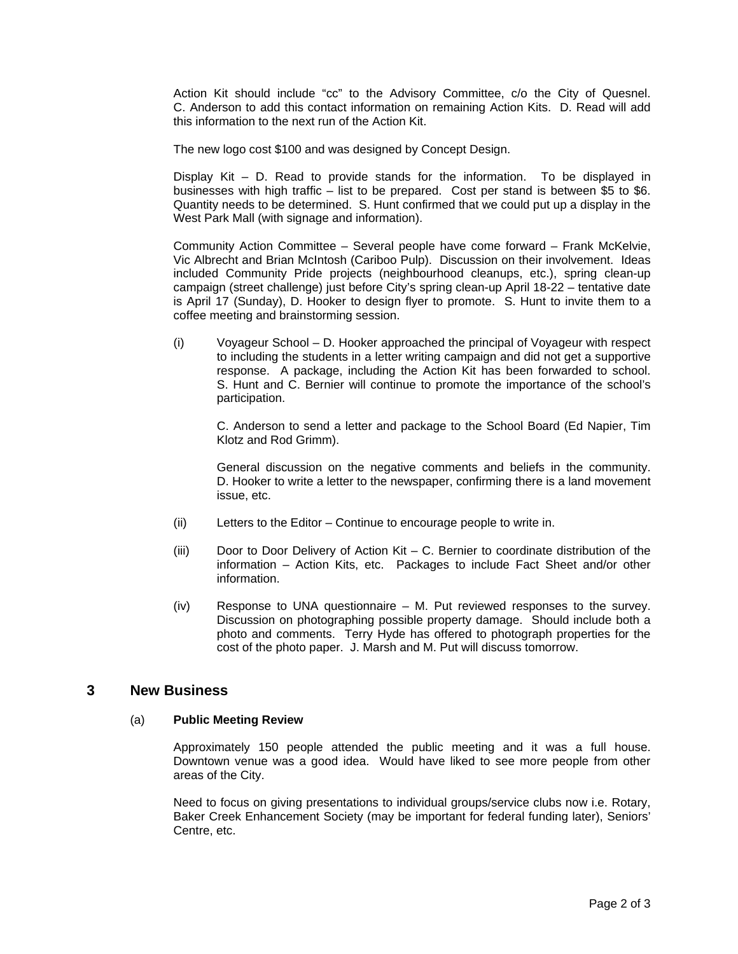Action Kit should include "cc" to the Advisory Committee, c/o the City of Quesnel. C. Anderson to add this contact information on remaining Action Kits. D. Read will add this information to the next run of the Action Kit.

The new logo cost \$100 and was designed by Concept Design.

Display Kit – D. Read to provide stands for the information. To be displayed in businesses with high traffic – list to be prepared. Cost per stand is between \$5 to \$6. Quantity needs to be determined. S. Hunt confirmed that we could put up a display in the West Park Mall (with signage and information).

Community Action Committee – Several people have come forward – Frank McKelvie, Vic Albrecht and Brian McIntosh (Cariboo Pulp). Discussion on their involvement. Ideas included Community Pride projects (neighbourhood cleanups, etc.), spring clean-up campaign (street challenge) just before City's spring clean-up April 18-22 – tentative date is April 17 (Sunday), D. Hooker to design flyer to promote. S. Hunt to invite them to a coffee meeting and brainstorming session.

(i) Voyageur School – D. Hooker approached the principal of Voyageur with respect to including the students in a letter writing campaign and did not get a supportive response. A package, including the Action Kit has been forwarded to school. S. Hunt and C. Bernier will continue to promote the importance of the school's participation.

C. Anderson to send a letter and package to the School Board (Ed Napier, Tim Klotz and Rod Grimm).

General discussion on the negative comments and beliefs in the community. D. Hooker to write a letter to the newspaper, confirming there is a land movement issue, etc.

- (ii) Letters to the Editor Continue to encourage people to write in.
- (iii) Door to Door Delivery of Action Kit C. Bernier to coordinate distribution of the information – Action Kits, etc. Packages to include Fact Sheet and/or other information.
- (iv) Response to UNA questionnaire M. Put reviewed responses to the survey. Discussion on photographing possible property damage. Should include both a photo and comments. Terry Hyde has offered to photograph properties for the cost of the photo paper. J. Marsh and M. Put will discuss tomorrow.

### **3 New Business**

#### (a) **Public Meeting Review**

Approximately 150 people attended the public meeting and it was a full house. Downtown venue was a good idea. Would have liked to see more people from other areas of the City.

Need to focus on giving presentations to individual groups/service clubs now i.e. Rotary, Baker Creek Enhancement Society (may be important for federal funding later), Seniors' Centre, etc.